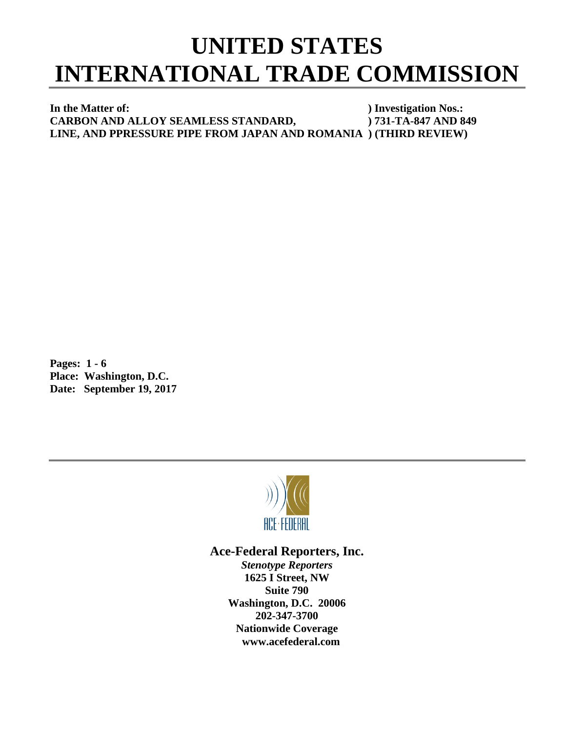## **UNITED STATES INTERNATIONAL TRADE COMMISSION**

**In the Matter of:** ) Investigation Nos.: **CARBON AND ALLOY SEAMLESS STANDARD, ) 731-TA-847 AND 849 LINE, AND PPRESSURE PIPE FROM JAPAN AND ROMANIA ) (THIRD REVIEW)**

**Pages: 1 - 6 Place: Washington, D.C. Date: September 19, 2017**



## **Ace-Federal Reporters, Inc.**

*Stenotype Reporters* **1625 I Street, NW Suite 790 Washington, D.C. 20006 202-347-3700 Nationwide Coverage www.acefederal.com**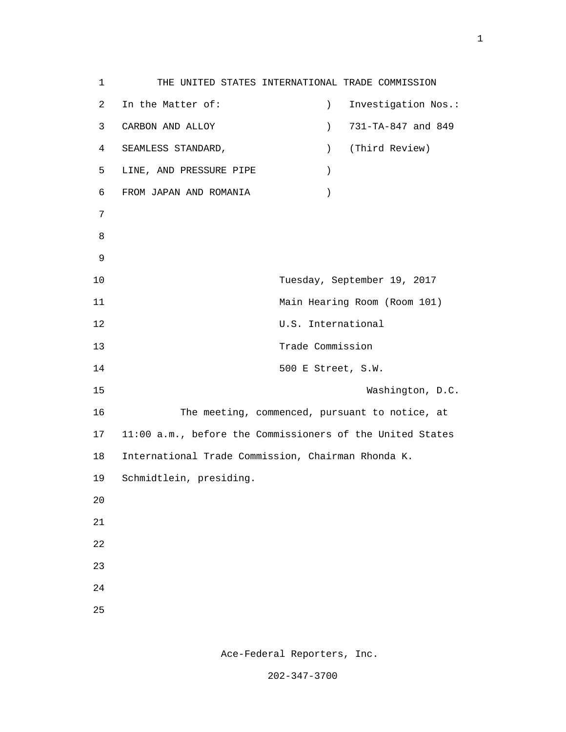1 THE UNITED STATES INTERNATIONAL TRADE COMMISSION 2 In the Matter of: ) Investigation Nos.: 3 CARBON AND ALLOY ) 731-TA-847 and 849 4 SEAMLESS STANDARD, ) (Third Review) 5 LINE, AND PRESSURE PIPE ) 6 FROM JAPAN AND ROMANIA ) 7 e a seu ann an 1882. Bha an 1892 an 1892 an 1892 an 1892 an 1892. Bha an 1892 an 1892 an 1892 an 1892 an 1892 9 10 Tuesday, September 19, 2017 11 Main Hearing Room (Room 101) 12 U.S. International 13 Trade Commission 14 500 E Street, S.W. 15 Washington, D.C. 16 The meeting, commenced, pursuant to notice, at 17 11:00 a.m., before the Commissioners of the United States 18 International Trade Commission, Chairman Rhonda K. 19 Schmidtlein, presiding. 20 21 22 23 24 <u>25</u>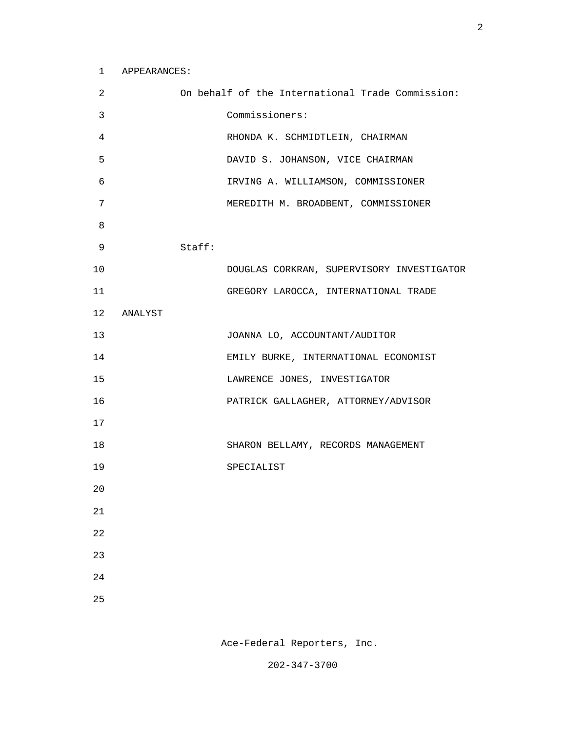| 2      |         |        | On behalf of the International Trade Commission: |
|--------|---------|--------|--------------------------------------------------|
| 3      |         |        | Commissioners:                                   |
| 4      |         |        | RHONDA K. SCHMIDTLEIN, CHAIRMAN                  |
| 5      |         |        | DAVID S. JOHANSON, VICE CHAIRMAN                 |
| 6      |         |        | IRVING A. WILLIAMSON, COMMISSIONER               |
| 7      |         |        | MEREDITH M. BROADBENT, COMMISSIONER              |
| 8      |         |        |                                                  |
| 9      |         | Staff: |                                                  |
| 10     |         |        | DOUGLAS CORKRAN, SUPERVISORY INVESTIGATOR        |
| 11     |         |        | GREGORY LAROCCA, INTERNATIONAL TRADE             |
| 12     | ANALYST |        |                                                  |
| 13     |         |        | JOANNA LO, ACCOUNTANT/AUDITOR                    |
| 14     |         |        | EMILY BURKE, INTERNATIONAL ECONOMIST             |
| 15     |         |        | LAWRENCE JONES, INVESTIGATOR                     |
| 16     |         |        | PATRICK GALLAGHER, ATTORNEY/ADVISOR              |
| 17     |         |        |                                                  |
| 18     |         |        | SHARON BELLAMY, RECORDS MANAGEMENT               |
| 19     |         |        | SPECIALIST                                       |
| 20     |         |        |                                                  |
| $21\,$ |         |        |                                                  |
| 22     |         |        |                                                  |
| 23     |         |        |                                                  |
| 24     |         |        |                                                  |
| 25     |         |        |                                                  |

Ace-Federal Reporters, Inc.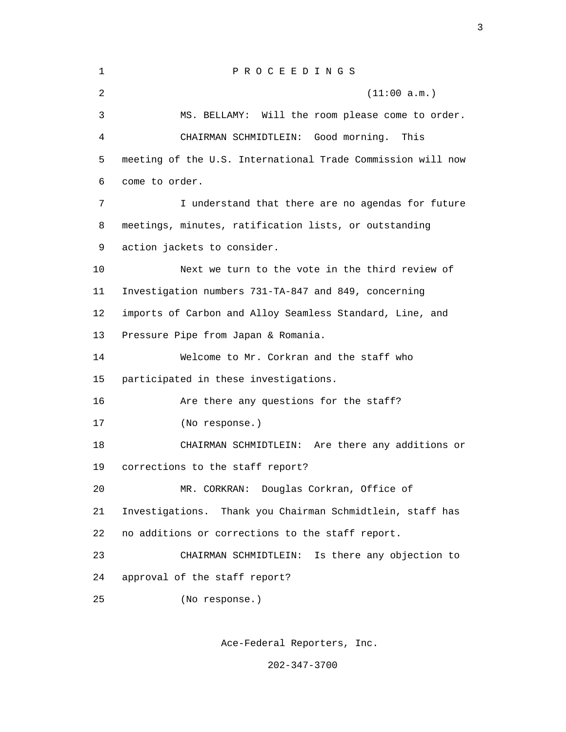| $\mathbf{1}$ | PROCEEDINGS                                                 |  |  |  |
|--------------|-------------------------------------------------------------|--|--|--|
| 2            | (11:00 a.m.)                                                |  |  |  |
| 3            | MS. BELLAMY: Will the room please come to order.            |  |  |  |
| 4            | CHAIRMAN SCHMIDTLEIN: Good morning.<br>This                 |  |  |  |
| 5            | meeting of the U.S. International Trade Commission will now |  |  |  |
| 6            | come to order.                                              |  |  |  |
| 7            | I understand that there are no agendas for future           |  |  |  |
| 8            | meetings, minutes, ratification lists, or outstanding       |  |  |  |
| 9            | action jackets to consider.                                 |  |  |  |
| 10           | Next we turn to the vote in the third review of             |  |  |  |
| 11           | Investigation numbers 731-TA-847 and 849, concerning        |  |  |  |
| 12           | imports of Carbon and Alloy Seamless Standard, Line, and    |  |  |  |
| 13           | Pressure Pipe from Japan & Romania.                         |  |  |  |
| 14           | Welcome to Mr. Corkran and the staff who                    |  |  |  |
| 15           | participated in these investigations.                       |  |  |  |
| 16           | Are there any questions for the staff?                      |  |  |  |
| 17           | (No response.)                                              |  |  |  |
| 18           | CHAIRMAN SCHMIDTLEIN: Are there any additions or            |  |  |  |
| 19           | corrections to the staff report?                            |  |  |  |
| 20           | MR. CORKRAN: Douglas Corkran, Office of                     |  |  |  |
| 21           | Investigations. Thank you Chairman Schmidtlein, staff has   |  |  |  |
| 22           | no additions or corrections to the staff report.            |  |  |  |
| 23           | Is there any objection to<br>CHAIRMAN SCHMIDTLEIN:          |  |  |  |
| 24           | approval of the staff report?                               |  |  |  |
| 25           | (No response.)                                              |  |  |  |
|              |                                                             |  |  |  |

Ace-Federal Reporters, Inc.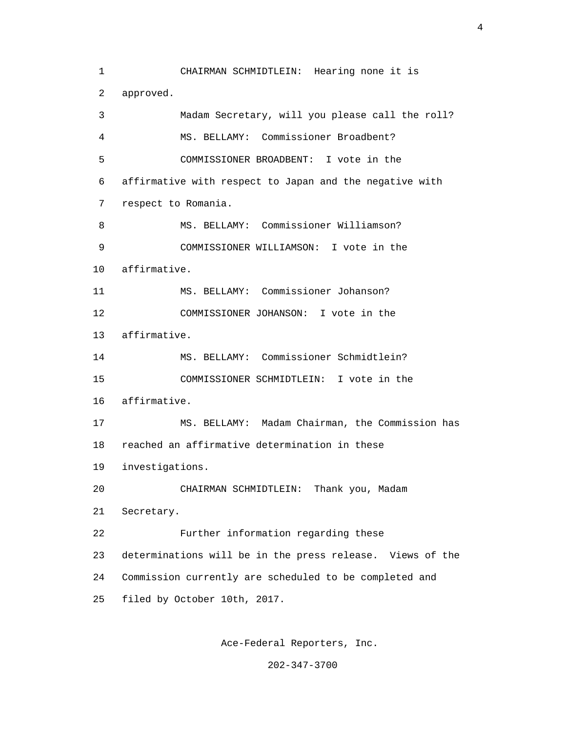1 CHAIRMAN SCHMIDTLEIN: Hearing none it is 2 approved. 3 Madam Secretary, will you please call the roll? 4 MS. BELLAMY: Commissioner Broadbent? 5 COMMISSIONER BROADBENT: I vote in the 6 affirmative with respect to Japan and the negative with 7 respect to Romania. 8 MS. BELLAMY: Commissioner Williamson? 9 COMMISSIONER WILLIAMSON: I vote in the 10 affirmative. 11 MS. BELLAMY: Commissioner Johanson? 12 COMMISSIONER JOHANSON: I vote in the 13 affirmative. 14 MS. BELLAMY: Commissioner Schmidtlein? 15 COMMISSIONER SCHMIDTLEIN: I vote in the 16 affirmative. 17 MS. BELLAMY: Madam Chairman, the Commission has 18 reached an affirmative determination in these 19 investigations. 20 CHAIRMAN SCHMIDTLEIN: Thank you, Madam 21 Secretary. 22 Further information regarding these 23 determinations will be in the press release. Views of the 24 Commission currently are scheduled to be completed and 25 filed by October 10th, 2017.

Ace-Federal Reporters, Inc.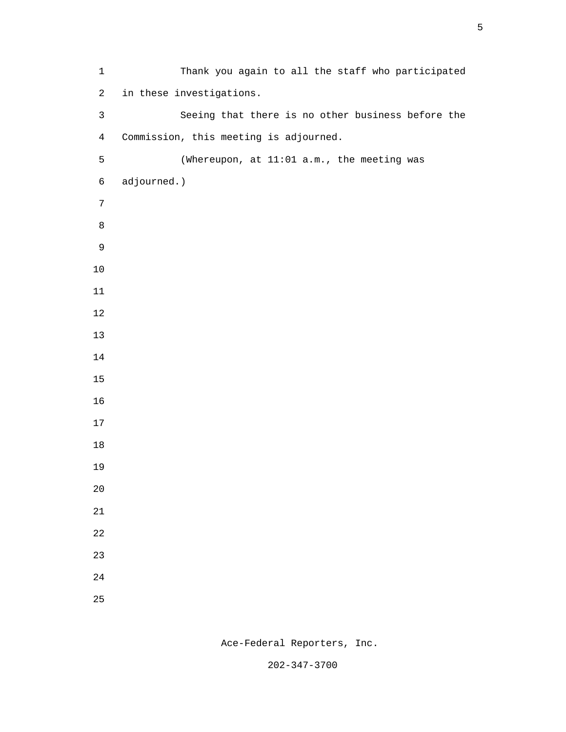1 Thank you again to all the staff who participated 2 in these investigations. 3 Seeing that there is no other business before the 4 Commission, this meeting is adjourned. 5 (Whereupon, at 11:01 a.m., the meeting was 6 adjourned.) e a seu ann an 1882. Bha an 1892 an 1892 an 1892 an 1892 an 1892. Bha an 1892 an 1892 an 1892 an 1892 an 1892 

Ace-Federal Reporters, Inc.